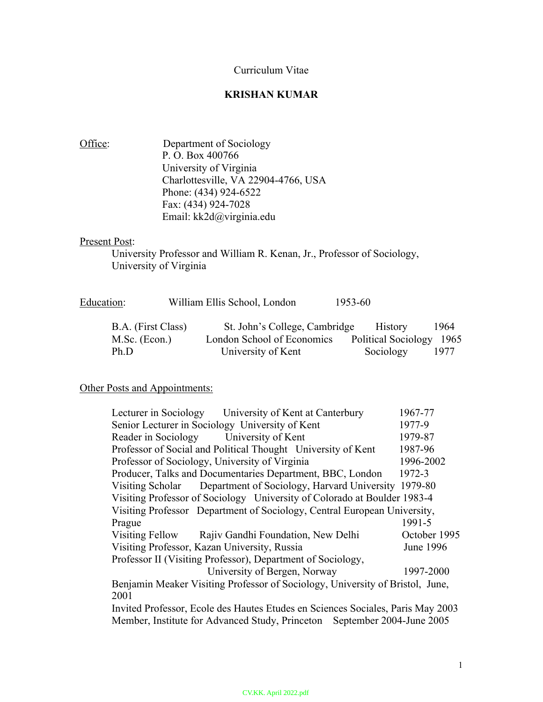# Curriculum Vitae

## **KRISHAN KUMAR**

Office: Department of Sociology P. O. Box 400766 University of Virginia Charlottesville, VA 22904-4766, USA Phone: (434) 924-6522 Fax: (434) 924-7028 Email: kk2d@virginia.edu

## Present Post:

University Professor and William R. Kenan, Jr., Professor of Sociology, University of Virginia

| Education: | William Ellis School, London | 1953-60 |
|------------|------------------------------|---------|
|            |                              |         |

| B.A. (First Class) | St. John's College, Cambridge History |                          | 1964 |
|--------------------|---------------------------------------|--------------------------|------|
| $M.Sc.$ (Econ.)    | London School of Economics            | Political Sociology 1965 |      |
| Ph.D               | University of Kent                    | Sociology                | 1977 |

# Other Posts and Appointments:

| Lecturer in Sociology University of Kent at Canterbury                          | 1967-77      |  |  |  |
|---------------------------------------------------------------------------------|--------------|--|--|--|
| Senior Lecturer in Sociology University of Kent                                 | 1977-9       |  |  |  |
| Reader in Sociology University of Kent                                          | 1979-87      |  |  |  |
| Professor of Social and Political Thought University of Kent                    | 1987-96      |  |  |  |
| Professor of Sociology, University of Virginia                                  | 1996-2002    |  |  |  |
| Producer, Talks and Documentaries Department, BBC, London                       | 1972-3       |  |  |  |
| Visiting Scholar Department of Sociology, Harvard University 1979-80            |              |  |  |  |
| Visiting Professor of Sociology University of Colorado at Boulder 1983-4        |              |  |  |  |
| Visiting Professor Department of Sociology, Central European University,        |              |  |  |  |
| Prague                                                                          | 1991-5       |  |  |  |
| Visiting Fellow Rajiv Gandhi Foundation, New Delhi                              | October 1995 |  |  |  |
| Visiting Professor, Kazan University, Russia                                    | June 1996    |  |  |  |
| Professor II (Visiting Professor), Department of Sociology,                     |              |  |  |  |
| University of Bergen, Norway                                                    | 1997-2000    |  |  |  |
| Benjamin Meaker Visiting Professor of Sociology, University of Bristol, June,   |              |  |  |  |
| 2001                                                                            |              |  |  |  |
| Invited Professor, Ecole des Hautes Etudes en Sciences Sociales, Paris May 2003 |              |  |  |  |
| Member, Institute for Advanced Study, Princeton September 2004-June 2005        |              |  |  |  |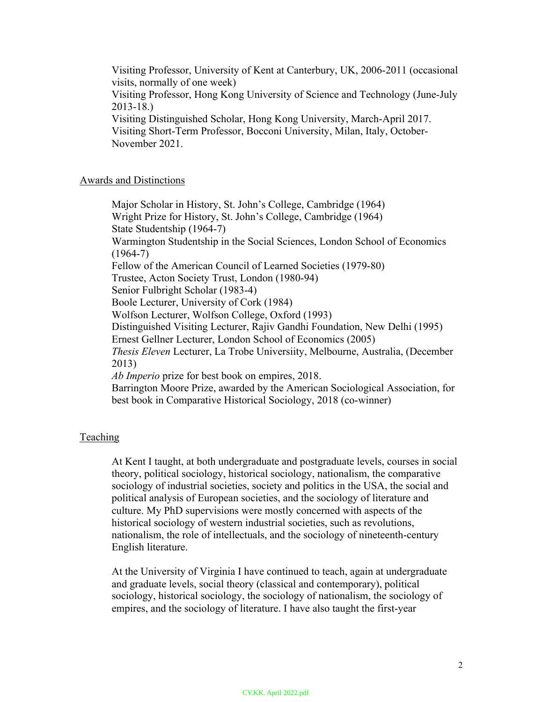Visiting Professor, University of Kent at Canterbury, UK, 2006-2011 (occasional visits, normally of one week)

Visiting Professor, Hong Kong University of Science and Technology (June-July 2013-18.)

Visiting Distinguished Scholar, Hong Kong University, March-April 2017. Visiting Short-Term Professor, Bocconi University, Milan, Italy, October-November 2021.

## Awards and Distinctions

Major Scholar in History, St. John's College, Cambridge (1964) Wright Prize for History, St. John's College, Cambridge (1964) State Studentship (1964-7) Warmington Studentship in the Social Sciences, London School of Economics  $(1964-7)$ Fellow of the American Council of Learned Societies (1979-80) Trustee, Acton Society Trust, London (1980-94) Senior Fulbright Scholar (1983-4) Boole Lecturer, University of Cork (1984) Wolfson Lecturer, Wolfson College, Oxford (1993) Distinguished Visiting Lecturer, Rajiv Gandhi Foundation, New Delhi (1995) Ernest Gellner Lecturer, London School of Economics (2005) *Thesis Eleven* Lecturer, La Trobe Universiity, Melbourne, Australia, (December 2013) *Ab Imperio* prize for best book on empires, 2018. Barrington Moore Prize, awarded by the American Sociological Association, for best book in Comparative Historical Sociology, 2018 (co-winner)

## Teaching

At Kent I taught, at both undergraduate and postgraduate levels, courses in social theory, political sociology, historical sociology, nationalism, the comparative sociology of industrial societies, society and politics in the USA, the social and political analysis of European societies, and the sociology of literature and culture. My PhD supervisions were mostly concerned with aspects of the historical sociology of western industrial societies, such as revolutions, nationalism, the role of intellectuals, and the sociology of nineteenth-century English literature.

At the University of Virginia I have continued to teach, again at undergraduate and graduate levels, social theory (classical and contemporary), political sociology, historical sociology, the sociology of nationalism, the sociology of empires, and the sociology of literature. I have also taught the first-year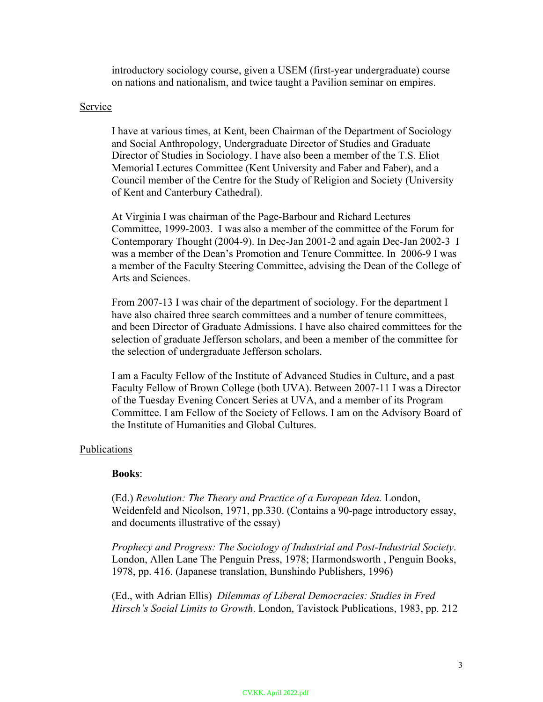introductory sociology course, given a USEM (first-year undergraduate) course on nations and nationalism, and twice taught a Pavilion seminar on empires.

## Service

I have at various times, at Kent, been Chairman of the Department of Sociology and Social Anthropology, Undergraduate Director of Studies and Graduate Director of Studies in Sociology. I have also been a member of the T.S. Eliot Memorial Lectures Committee (Kent University and Faber and Faber), and a Council member of the Centre for the Study of Religion and Society (University of Kent and Canterbury Cathedral).

At Virginia I was chairman of the Page-Barbour and Richard Lectures Committee, 1999-2003. I was also a member of the committee of the Forum for Contemporary Thought (2004-9). In Dec-Jan 2001-2 and again Dec-Jan 2002-3 I was a member of the Dean's Promotion and Tenure Committee. In 2006-9 I was a member of the Faculty Steering Committee, advising the Dean of the College of Arts and Sciences.

From 2007-13 I was chair of the department of sociology. For the department I have also chaired three search committees and a number of tenure committees, and been Director of Graduate Admissions. I have also chaired committees for the selection of graduate Jefferson scholars, and been a member of the committee for the selection of undergraduate Jefferson scholars.

I am a Faculty Fellow of the Institute of Advanced Studies in Culture, and a past Faculty Fellow of Brown College (both UVA). Between 2007-11 I was a Director of the Tuesday Evening Concert Series at UVA, and a member of its Program Committee. I am Fellow of the Society of Fellows. I am on the Advisory Board of the Institute of Humanities and Global Cultures.

### Publications

### **Books**:

(Ed.) *Revolution: The Theory and Practice of a European Idea.* London, Weidenfeld and Nicolson, 1971, pp.330. (Contains a 90-page introductory essay, and documents illustrative of the essay)

*Prophecy and Progress: The Sociology of Industrial and Post-Industrial Society*. London, Allen Lane The Penguin Press, 1978; Harmondsworth , Penguin Books, 1978, pp. 416. (Japanese translation, Bunshindo Publishers, 1996)

(Ed., with Adrian Ellis) *Dilemmas of Liberal Democracies: Studies in Fred Hirsch's Social Limits to Growth*. London, Tavistock Publications, 1983, pp. 212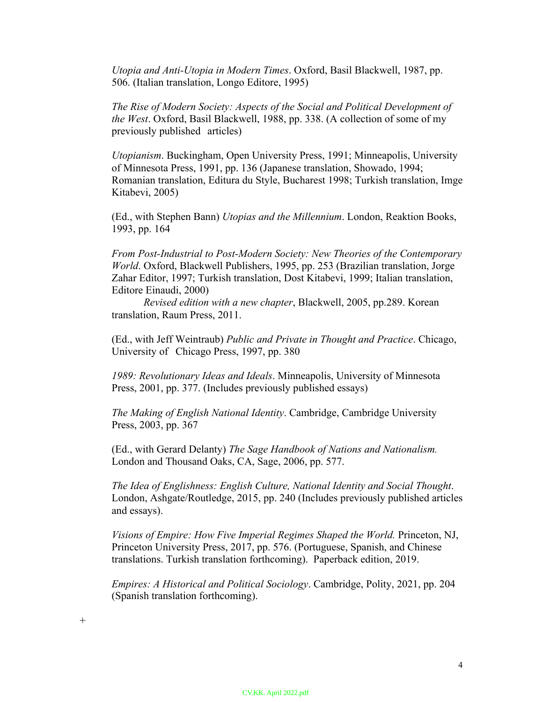*Utopia and Anti-Utopia in Modern Times*. Oxford, Basil Blackwell, 1987, pp. 506. (Italian translation, Longo Editore, 1995)

*The Rise of Modern Society: Aspects of the Social and Political Development of the West*. Oxford, Basil Blackwell, 1988, pp. 338. (A collection of some of my previously published articles)

*Utopianism*. Buckingham, Open University Press, 1991; Minneapolis, University of Minnesota Press, 1991, pp. 136 (Japanese translation, Showado, 1994; Romanian translation, Editura du Style, Bucharest 1998; Turkish translation, Imge Kitabevi, 2005)

(Ed., with Stephen Bann) *Utopias and the Millennium*. London, Reaktion Books, 1993, pp. 164

*From Post-Industrial to Post-Modern Society: New Theories of the Contemporary World*. Oxford, Blackwell Publishers, 1995, pp. 253 (Brazilian translation, Jorge Zahar Editor, 1997; Turkish translation, Dost Kitabevi, 1999; Italian translation, Editore Einaudi, 2000)

*Revised edition with a new chapter*, Blackwell, 2005, pp.289. Korean translation, Raum Press, 2011.

(Ed., with Jeff Weintraub) *Public and Private in Thought and Practice*. Chicago, University of Chicago Press, 1997, pp. 380

*1989: Revolutionary Ideas and Ideals*. Minneapolis, University of Minnesota Press, 2001, pp. 377. (Includes previously published essays)

*The Making of English National Identity*. Cambridge, Cambridge University Press, 2003, pp. 367

(Ed., with Gerard Delanty) *The Sage Handbook of Nations and Nationalism.* London and Thousand Oaks, CA, Sage, 2006, pp. 577.

*The Idea of Englishness: English Culture, National Identity and Social Thought*. London, Ashgate/Routledge, 2015, pp. 240 (Includes previously published articles and essays).

*Visions of Empire: How Five Imperial Regimes Shaped the World.* Princeton, NJ, Princeton University Press, 2017, pp. 576. (Portuguese, Spanish, and Chinese translations. Turkish translation forthcoming). Paperback edition, 2019.

*Empires: A Historical and Political Sociology*. Cambridge, Polity, 2021, pp. 204 (Spanish translation forthcoming).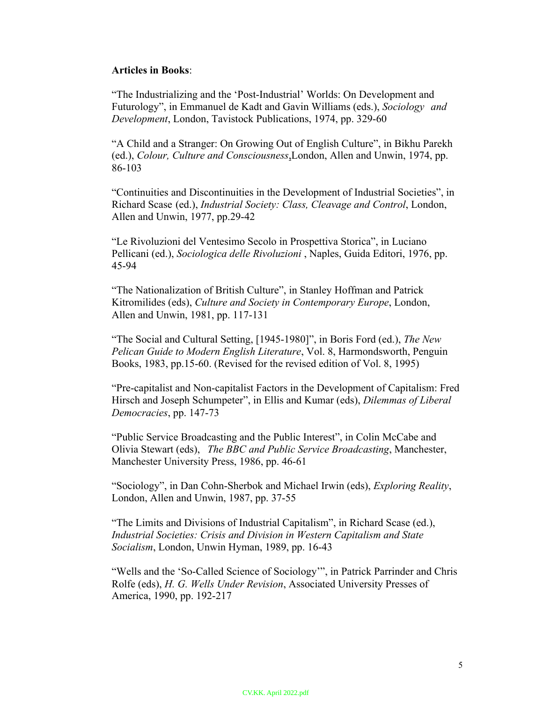## **Articles in Books**:

"The Industrializing and the 'Post-Industrial' Worlds: On Development and Futurology", in Emmanuel de Kadt and Gavin Williams (eds.), *Sociology and Development*, London, Tavistock Publications, 1974, pp. 329-60

"A Child and a Stranger: On Growing Out of English Culture", in Bikhu Parekh (ed.), *Colour, Culture and Consciousness*,London, Allen and Unwin, 1974, pp. 86-103

"Continuities and Discontinuities in the Development of Industrial Societies", in Richard Scase (ed.), *Industrial Society: Class, Cleavage and Control*, London, Allen and Unwin, 1977, pp.29-42

"Le Rivoluzioni del Ventesimo Secolo in Prospettiva Storica", in Luciano Pellicani (ed.), *Sociologica delle Rivoluzioni* , Naples, Guida Editori, 1976, pp. 45-94

"The Nationalization of British Culture", in Stanley Hoffman and Patrick Kitromilides (eds), *Culture and Society in Contemporary Europe*, London, Allen and Unwin, 1981, pp. 117-131

"The Social and Cultural Setting, [1945-1980]", in Boris Ford (ed.), *The New Pelican Guide to Modern English Literature*, Vol. 8, Harmondsworth, Penguin Books, 1983, pp.15-60. (Revised for the revised edition of Vol. 8, 1995)

"Pre-capitalist and Non-capitalist Factors in the Development of Capitalism: Fred Hirsch and Joseph Schumpeter", in Ellis and Kumar (eds), *Dilemmas of Liberal Democracies*, pp. 147-73

"Public Service Broadcasting and the Public Interest", in Colin McCabe and Olivia Stewart (eds), *The BBC and Public Service Broadcasting*, Manchester, Manchester University Press, 1986, pp. 46-61

"Sociology", in Dan Cohn-Sherbok and Michael Irwin (eds), *Exploring Reality*, London, Allen and Unwin, 1987, pp. 37-55

"The Limits and Divisions of Industrial Capitalism", in Richard Scase (ed.), *Industrial Societies: Crisis and Division in Western Capitalism and State Socialism*, London, Unwin Hyman, 1989, pp. 16-43

"Wells and the 'So-Called Science of Sociology'", in Patrick Parrinder and Chris Rolfe (eds), *H. G. Wells Under Revision*, Associated University Presses of America, 1990, pp. 192-217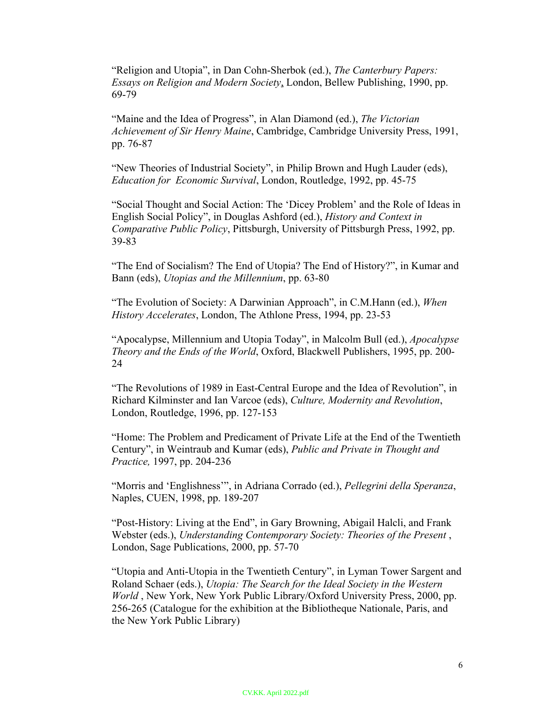"Religion and Utopia", in Dan Cohn-Sherbok (ed.), *The Canterbury Papers: Essays on Religion and Modern Society*, London, Bellew Publishing, 1990, pp. 69-79

"Maine and the Idea of Progress", in Alan Diamond (ed.), *The Victorian Achievement of Sir Henry Maine*, Cambridge, Cambridge University Press, 1991, pp. 76-87

"New Theories of Industrial Society", in Philip Brown and Hugh Lauder (eds), *Education for Economic Survival*, London, Routledge, 1992, pp. 45-75

"Social Thought and Social Action: The 'Dicey Problem' and the Role of Ideas in English Social Policy", in Douglas Ashford (ed.), *History and Context in Comparative Public Policy*, Pittsburgh, University of Pittsburgh Press, 1992, pp. 39-83

"The End of Socialism? The End of Utopia? The End of History?", in Kumar and Bann (eds), *Utopias and the Millennium*, pp. 63-80

"The Evolution of Society: A Darwinian Approach", in C.M.Hann (ed.), *When History Accelerates*, London, The Athlone Press, 1994, pp. 23-53

"Apocalypse, Millennium and Utopia Today", in Malcolm Bull (ed.), *Apocalypse Theory and the Ends of the World*, Oxford, Blackwell Publishers, 1995, pp. 200- 24

"The Revolutions of 1989 in East-Central Europe and the Idea of Revolution", in Richard Kilminster and Ian Varcoe (eds), *Culture, Modernity and Revolution*, London, Routledge, 1996, pp. 127-153

"Home: The Problem and Predicament of Private Life at the End of the Twentieth Century", in Weintraub and Kumar (eds), *Public and Private in Thought and Practice,* 1997, pp. 204-236

"Morris and 'Englishness'", in Adriana Corrado (ed.), *Pellegrini della Speranza*, Naples, CUEN, 1998, pp. 189-207

"Post-History: Living at the End", in Gary Browning, Abigail Halcli, and Frank Webster (eds.), *Understanding Contemporary Society: Theories of the Present* , London, Sage Publications, 2000, pp. 57-70

"Utopia and Anti-Utopia in the Twentieth Century", in Lyman Tower Sargent and Roland Schaer (eds.), *Utopia: The Search for the Ideal Society in the Western World* , New York, New York Public Library/Oxford University Press, 2000, pp. 256-265 (Catalogue for the exhibition at the Bibliotheque Nationale, Paris, and the New York Public Library)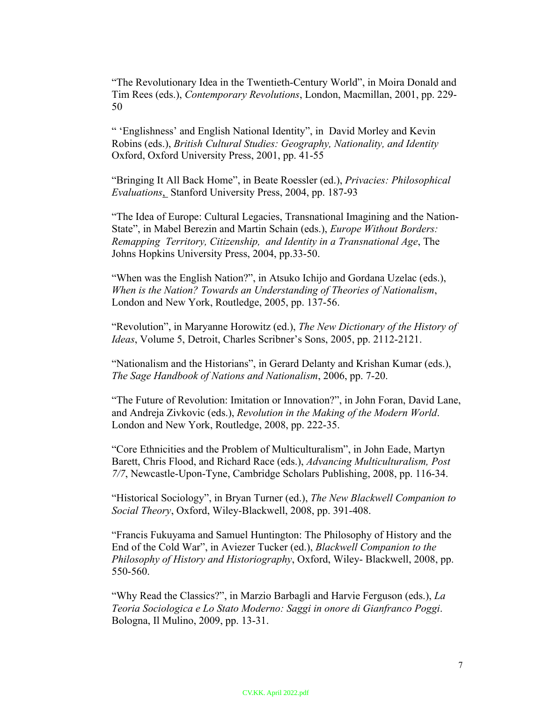"The Revolutionary Idea in the Twentieth-Century World", in Moira Donald and Tim Rees (eds.), *Contemporary Revolutions*, London, Macmillan, 2001, pp. 229- 50

" 'Englishness' and English National Identity", in David Morley and Kevin Robins (eds.), *British Cultural Studies: Geography, Nationality, and Identity* Oxford, Oxford University Press, 2001, pp. 41-55

"Bringing It All Back Home", in Beate Roessler (ed.), *Privacies: Philosophical Evaluations*, Stanford University Press, 2004, pp. 187-93

"The Idea of Europe: Cultural Legacies, Transnational Imagining and the Nation-State", in Mabel Berezin and Martin Schain (eds.), *Europe Without Borders: Remapping Territory, Citizenship, and Identity in a Transnational Age*, The Johns Hopkins University Press, 2004, pp.33-50.

"When was the English Nation?", in Atsuko Ichijo and Gordana Uzelac (eds.), *When is the Nation? Towards an Understanding of Theories of Nationalism*, London and New York, Routledge, 2005, pp. 137-56.

"Revolution", in Maryanne Horowitz (ed.), *The New Dictionary of the History of Ideas*, Volume 5, Detroit, Charles Scribner's Sons, 2005, pp. 2112-2121.

"Nationalism and the Historians", in Gerard Delanty and Krishan Kumar (eds.), *The Sage Handbook of Nations and Nationalism*, 2006, pp. 7-20.

"The Future of Revolution: Imitation or Innovation?", in John Foran, David Lane, and Andreja Zivkovic (eds.), *Revolution in the Making of the Modern World*. London and New York, Routledge, 2008, pp. 222-35.

"Core Ethnicities and the Problem of Multiculturalism", in John Eade, Martyn Barett, Chris Flood, and Richard Race (eds.), *Advancing Multiculturalism, Post 7/7*, Newcastle-Upon-Tyne, Cambridge Scholars Publishing, 2008, pp. 116-34.

"Historical Sociology", in Bryan Turner (ed.), *The New Blackwell Companion to Social Theory*, Oxford, Wiley-Blackwell, 2008, pp. 391-408.

"Francis Fukuyama and Samuel Huntington: The Philosophy of History and the End of the Cold War", in Aviezer Tucker (ed.), *Blackwell Companion to the Philosophy of History and Historiography*, Oxford, Wiley- Blackwell, 2008, pp. 550-560.

"Why Read the Classics?", in Marzio Barbagli and Harvie Ferguson (eds.), *La Teoria Sociologica e Lo Stato Moderno: Saggi in onore di Gianfranco Poggi*. Bologna, Il Mulino, 2009, pp. 13-31.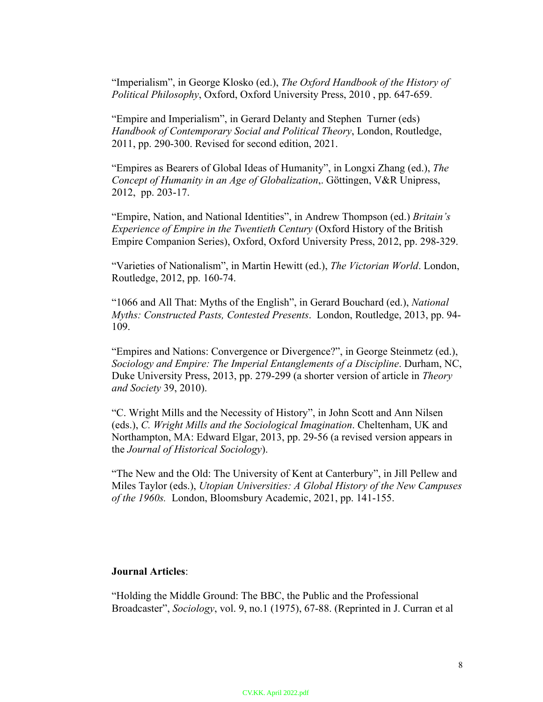"Imperialism", in George Klosko (ed.), *The Oxford Handbook of the History of Political Philosophy*, Oxford, Oxford University Press, 2010 , pp. 647-659.

"Empire and Imperialism", in Gerard Delanty and Stephen Turner (eds) *Handbook of Contemporary Social and Political Theory*, London, Routledge, 2011, pp. 290-300. Revised for second edition, 2021.

"Empires as Bearers of Global Ideas of Humanity", in Longxi Zhang (ed.), *The Concept of Humanity in an Age of Globalization*,. Göttingen, V&R Unipress, 2012, pp. 203-17.

"Empire, Nation, and National Identities", in Andrew Thompson (ed.) *Britain's Experience of Empire in the Twentieth Century* (Oxford History of the British Empire Companion Series), Oxford, Oxford University Press, 2012, pp. 298-329.

"Varieties of Nationalism", in Martin Hewitt (ed.), *The Victorian World*. London, Routledge, 2012, pp. 160-74.

"1066 and All That: Myths of the English", in Gerard Bouchard (ed.), *National Myths: Constructed Pasts, Contested Presents*. London, Routledge, 2013, pp. 94- 109.

"Empires and Nations: Convergence or Divergence?", in George Steinmetz (ed.), *Sociology and Empire: The Imperial Entanglements of a Discipline*. Durham, NC, Duke University Press, 2013, pp. 279-299 (a shorter version of article in *Theory and Society* 39, 2010).

"C. Wright Mills and the Necessity of History", in John Scott and Ann Nilsen (eds.), *C. Wright Mills and the Sociological Imagination*. Cheltenham, UK and Northampton, MA: Edward Elgar, 2013, pp. 29-56 (a revised version appears in the *Journal of Historical Sociology*).

"The New and the Old: The University of Kent at Canterbury", in Jill Pellew and Miles Taylor (eds.), *Utopian Universities: A Global History of the New Campuses of the 1960s.* London, Bloomsbury Academic, 2021, pp. 141-155.

### **Journal Articles**:

"Holding the Middle Ground: The BBC, the Public and the Professional Broadcaster", *Sociology*, vol. 9, no.1 (1975), 67-88. (Reprinted in J. Curran et al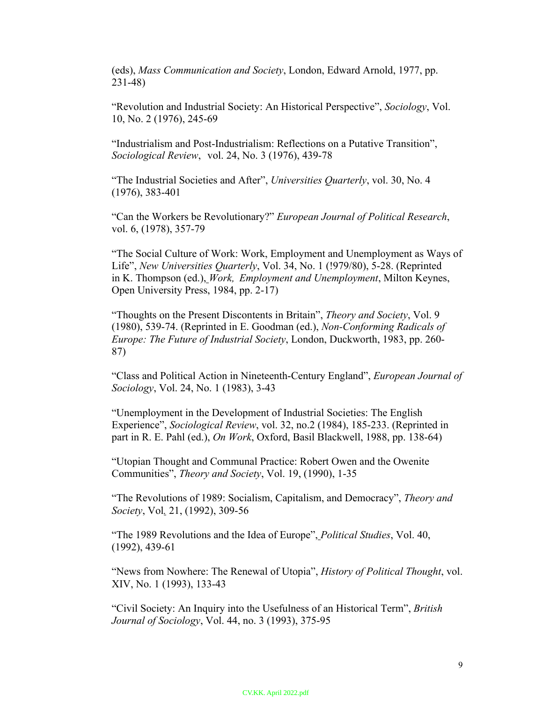(eds), *Mass Communication and Society*, London, Edward Arnold, 1977, pp. 231-48)

"Revolution and Industrial Society: An Historical Perspective", *Sociology*, Vol. 10, No. 2 (1976), 245-69

"Industrialism and Post-Industrialism: Reflections on a Putative Transition", *Sociological Review*, vol. 24, No. 3 (1976), 439-78

"The Industrial Societies and After", *Universities Quarterly*, vol. 30, No. 4 (1976), 383-401

"Can the Workers be Revolutionary?" *European Journal of Political Research*, vol. 6, (1978), 357-79

"The Social Culture of Work: Work, Employment and Unemployment as Ways of Life", *New Universities Quarterly*, Vol. 34, No. 1 (!979/80), 5-28. (Reprinted in K. Thompson (ed.), *Work, Employment and Unemployment*, Milton Keynes, Open University Press, 1984, pp. 2-17)

"Thoughts on the Present Discontents in Britain", *Theory and Society*, Vol. 9 (1980), 539-74. (Reprinted in E. Goodman (ed.), *Non-Conforming Radicals of Europe: The Future of Industrial Society*, London, Duckworth, 1983, pp. 260- 87)

"Class and Political Action in Nineteenth-Century England", *European Journal of Sociology*, Vol. 24, No. 1 (1983), 3-43

"Unemployment in the Development of Industrial Societies: The English Experience", *Sociological Review*, vol. 32, no.2 (1984), 185-233. (Reprinted in part in R. E. Pahl (ed.), *On Work*, Oxford, Basil Blackwell, 1988, pp. 138-64)

"Utopian Thought and Communal Practice: Robert Owen and the Owenite Communities", *Theory and Society*, Vol. 19, (1990), 1-35

"The Revolutions of 1989: Socialism, Capitalism, and Democracy", *Theory and Society*, Vol*.* 21, (1992), 309-56

"The 1989 Revolutions and the Idea of Europe", *Political Studies*, Vol. 40, (1992), 439-61

"News from Nowhere: The Renewal of Utopia", *History of Political Thought*, vol. XIV, No. 1 (1993), 133-43

"Civil Society: An Inquiry into the Usefulness of an Historical Term", *British Journal of Sociology*, Vol. 44, no. 3 (1993), 375-95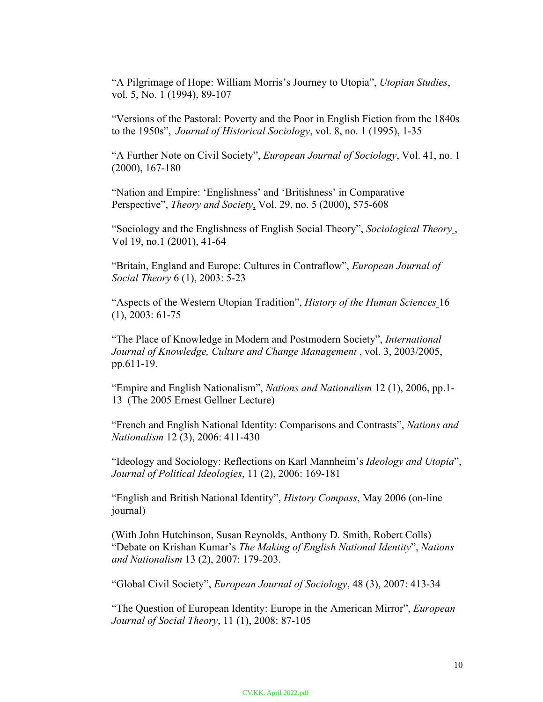"A Pilgrimage of Hope: William Morris's Journey to Utopia", *Utopian Studies*, vol. 5, No. 1 (1994), 89-107

"Versions of the Pastoral: Poverty and the Poor in English Fiction from the 1840s to the 1950s", *Journal of Historical Sociology*, vol. 8, no. 1 (1995), 1-35

"A Further Note on Civil Society", *European Journal of Sociology*, Vol. 41, no. 1 (2000), 167-180

"Nation and Empire: 'Englishness' and 'Britishness' in Comparative Perspective", *Theory and Society*, Vol. 29, no. 5 (2000), 575-608

"Sociology and the Englishness of English Social Theory", *Sociological Theory* , Vol 19, no.1 (2001), 41-64

"Britain, England and Europe: Cultures in Contraflow", *European Journal of Social Theory* 6 (1), 2003: 5-23

"Aspects of the Western Utopian Tradition", *History of the Human Sciences* 16 (1), 2003: 61-75

"The Place of Knowledge in Modern and Postmodern Society", *International Journal of Knowledge, Culture and Change Management* , vol. 3, 2003/2005, pp.611-19.

"Empire and English Nationalism", *Nations and Nationalism* 12 (1), 2006, pp.1- 13 (The 2005 Ernest Gellner Lecture)

"French and English National Identity: Comparisons and Contrasts", *Nations and Nationalism* 12 (3), 2006: 411-430

"Ideology and Sociology: Reflections on Karl Mannheim's *Ideology and Utopia*", *Journal of Political Ideologies*, 11 (2), 2006: 169-181

"English and British National Identity", *History Compass*, May 2006 (on-line journal)

(With John Hutchinson, Susan Reynolds, Anthony D. Smith, Robert Colls) "Debate on Krishan Kumar's *The Making of English National Identity*", *Nations and Nationalism* 13 (2), 2007: 179-203.

"Global Civil Society", *European Journal of Sociology*, 48 (3), 2007: 413-34

"The Question of European Identity: Europe in the American Mirror", *European Journal of Social Theory*, 11 (1), 2008: 87-105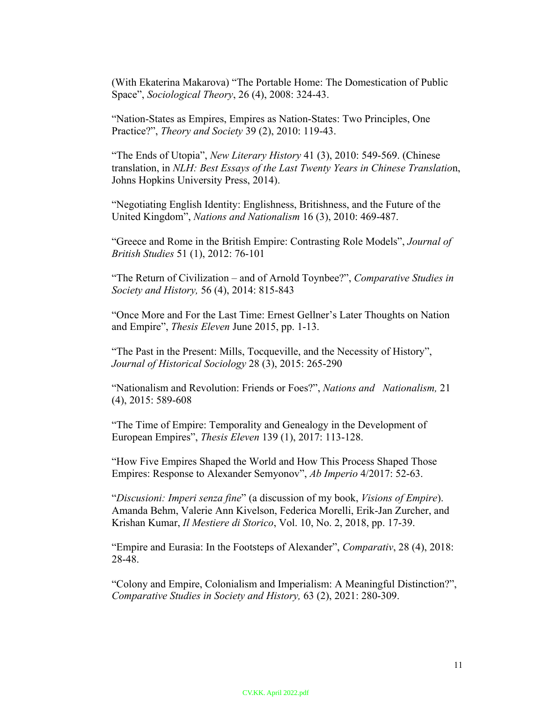(With Ekaterina Makarova) "The Portable Home: The Domestication of Public Space", *Sociological Theory*, 26 (4), 2008: 324-43.

"Nation-States as Empires, Empires as Nation-States: Two Principles, One Practice?", *Theory and Society* 39 (2), 2010: 119-43.

"The Ends of Utopia", *New Literary History* 41 (3), 2010: 549-569. (Chinese translation, in *NLH: Best Essays of the Last Twenty Years in Chinese Translatio*n, Johns Hopkins University Press, 2014).

"Negotiating English Identity: Englishness, Britishness, and the Future of the United Kingdom", *Nations and Nationalism* 16 (3), 2010: 469-487.

"Greece and Rome in the British Empire: Contrasting Role Models", *Journal of British Studies* 51 (1), 2012: 76-101

"The Return of Civilization – and of Arnold Toynbee?", *Comparative Studies in Society and History,* 56 (4), 2014: 815-843

"Once More and For the Last Time: Ernest Gellner's Later Thoughts on Nation and Empire", *Thesis Eleven* June 2015, pp. 1-13.

"The Past in the Present: Mills, Tocqueville, and the Necessity of History", *Journal of Historical Sociology* 28 (3), 2015: 265-290

"Nationalism and Revolution: Friends or Foes?", *Nations and Nationalism,* 21 (4), 2015: 589-608

"The Time of Empire: Temporality and Genealogy in the Development of European Empires", *Thesis Eleven* 139 (1), 2017: 113-128.

"How Five Empires Shaped the World and How This Process Shaped Those Empires: Response to Alexander Semyonov", *Ab Imperio* 4/2017: 52-63.

"*Discusioni: Imperi senza fine*" (a discussion of my book, *Visions of Empire*). Amanda Behm, Valerie Ann Kivelson, Federica Morelli, Erik-Jan Zurcher, and Krishan Kumar, *Il Mestiere di Storico*, Vol. 10, No. 2, 2018, pp. 17-39.

"Empire and Eurasia: In the Footsteps of Alexander", *Comparativ*, 28 (4), 2018: 28-48.

"Colony and Empire, Colonialism and Imperialism: A Meaningful Distinction?", *Comparative Studies in Society and History,* 63 (2), 2021: 280-309.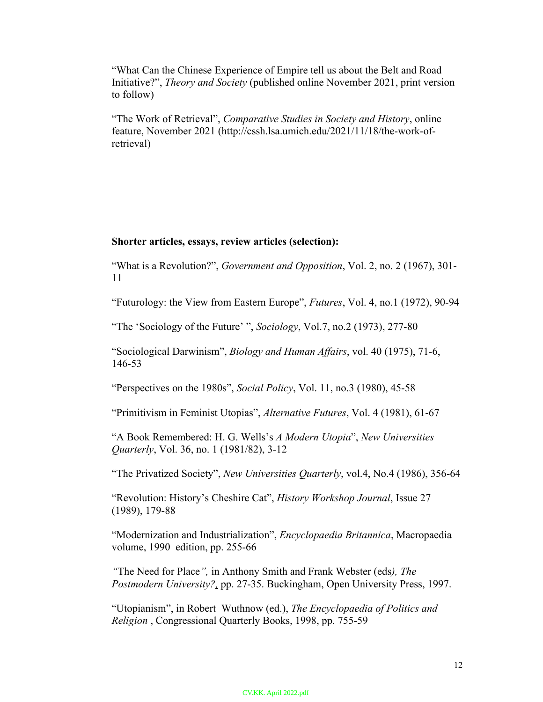"What Can the Chinese Experience of Empire tell us about the Belt and Road Initiative?", *Theory and Society* (published online November 2021, print version to follow)

"The Work of Retrieval", *Comparative Studies in Society and History*, online feature, November 2021 (http://cssh.lsa.umich.edu/2021/11/18/the-work-ofretrieval)

### **Shorter articles, essays, review articles (selection):**

"What is a Revolution?", *Government and Opposition*, Vol. 2, no. 2 (1967), 301- 11

"Futurology: the View from Eastern Europe", *Futures*, Vol. 4, no.1 (1972), 90-94

"The 'Sociology of the Future' ", *Sociology*, Vol.7, no.2 (1973), 277-80

"Sociological Darwinism", *Biology and Human Affairs*, vol. 40 (1975), 71-6, 146-53

"Perspectives on the 1980s", *Social Policy*, Vol. 11, no.3 (1980), 45-58

"Primitivism in Feminist Utopias", *Alternative Futures*, Vol. 4 (1981), 61-67

"A Book Remembered: H. G. Wells's *A Modern Utopia*", *New Universities Quarterly*, Vol. 36, no. 1 (1981/82), 3-12

"The Privatized Society", *New Universities Quarterly*, vol.4, No.4 (1986), 356-64

"Revolution: History's Cheshire Cat", *History Workshop Journal*, Issue 27 (1989), 179-88

"Modernization and Industrialization", *Encyclopaedia Britannica*, Macropaedia volume, 1990 edition, pp. 255-66

*"*The Need for Place*",* in Anthony Smith and Frank Webster (eds*), The Postmodern University?,* pp. 27-35. Buckingham, Open University Press, 1997.

"Utopianism", in Robert Wuthnow (ed.), *The Encyclopaedia of Politics and Religion* , Congressional Quarterly Books, 1998, pp. 755-59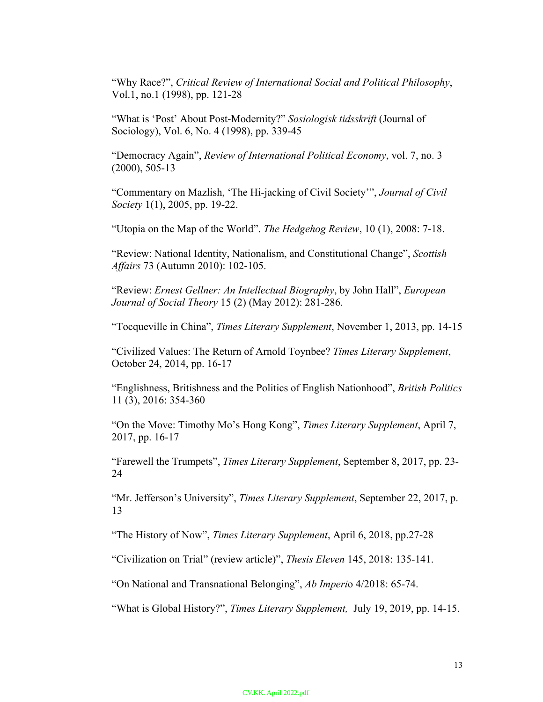"Why Race?", *Critical Review of International Social and Political Philosophy*, Vol.1, no.1 (1998), pp. 121-28

"What is 'Post' About Post-Modernity?" *Sosiologisk tidsskrift* (Journal of Sociology), Vol. 6, No. 4 (1998), pp. 339-45

"Democracy Again", *Review of International Political Economy*, vol. 7, no. 3 (2000), 505-13

"Commentary on Mazlish, 'The Hi-jacking of Civil Society'", *Journal of Civil Society* 1(1), 2005, pp. 19-22.

"Utopia on the Map of the World". *The Hedgehog Review*, 10 (1), 2008: 7-18.

"Review: National Identity, Nationalism, and Constitutional Change", *Scottish Affairs* 73 (Autumn 2010): 102-105.

"Review: *Ernest Gellner: An Intellectual Biography*, by John Hall", *European Journal of Social Theory* 15 (2) (May 2012): 281-286.

"Tocqueville in China", *Times Literary Supplement*, November 1, 2013, pp. 14-15

"Civilized Values: The Return of Arnold Toynbee? *Times Literary Supplement*, October 24, 2014, pp. 16-17

"Englishness, Britishness and the Politics of English Nationhood", *British Politics* 11 (3), 2016: 354-360

"On the Move: Timothy Mo's Hong Kong", *Times Literary Supplement*, April 7, 2017, pp. 16-17

"Farewell the Trumpets", *Times Literary Supplement*, September 8, 2017, pp. 23- 24

"Mr. Jefferson's University", *Times Literary Supplement*, September 22, 2017, p. 13

"The History of Now", *Times Literary Supplement*, April 6, 2018, pp.27-28

"Civilization on Trial" (review article)", *Thesis Eleven* 145, 2018: 135-141.

"On National and Transnational Belonging", *Ab Imperi*o 4/2018: 65-74.

"What is Global History?", *Times Literary Supplement,* July 19, 2019, pp. 14-15.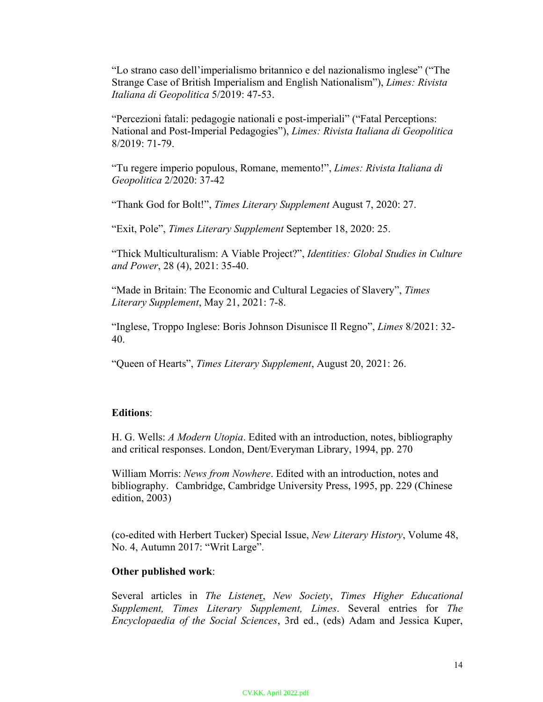"Lo strano caso dell'imperialismo britannico e del nazionalismo inglese" ("The Strange Case of British Imperialism and English Nationalism"), *Limes: Rivista Italiana di Geopolitica* 5/2019: 47-53.

"Percezioni fatali: pedagogie nationali e post-imperiali" ("Fatal Perceptions: National and Post-Imperial Pedagogies"), *Limes: Rivista Italiana di Geopolitica* 8/2019: 71-79.

"Tu regere imperio populous, Romane, memento!", *Limes: Rivista Italiana di Geopolitica* 2/2020: 37-42

"Thank God for Bolt!", *Times Literary Supplement* August 7, 2020: 27.

"Exit, Pole", *Times Literary Supplement* September 18, 2020: 25.

"Thick Multiculturalism: A Viable Project?", *Identities: Global Studies in Culture and Power*, 28 (4), 2021: 35-40.

"Made in Britain: The Economic and Cultural Legacies of Slavery", *Times Literary Supplement*, May 21, 2021: 7-8.

"Inglese, Troppo Inglese: Boris Johnson Disunisce Il Regno", *Limes* 8/2021: 32- 40.

"Queen of Hearts", *Times Literary Supplement*, August 20, 2021: 26.

### **Editions**:

H. G. Wells: *A Modern Utopia*. Edited with an introduction, notes, bibliography and critical responses. London, Dent/Everyman Library, 1994, pp. 270

William Morris: *News from Nowhere*. Edited with an introduction, notes and bibliography. Cambridge, Cambridge University Press, 1995, pp. 229 (Chinese edition, 2003)

(co-edited with Herbert Tucker) Special Issue, *New Literary History*, Volume 48, No. 4, Autumn 2017: "Writ Large".

### **Other published work**:

Several articles in *The Listene*r, *New Society*, *Times Higher Educational Supplement, Times Literary Supplement, Limes*. Several entries for *The Encyclopaedia of the Social Sciences*, 3rd ed., (eds) Adam and Jessica Kuper,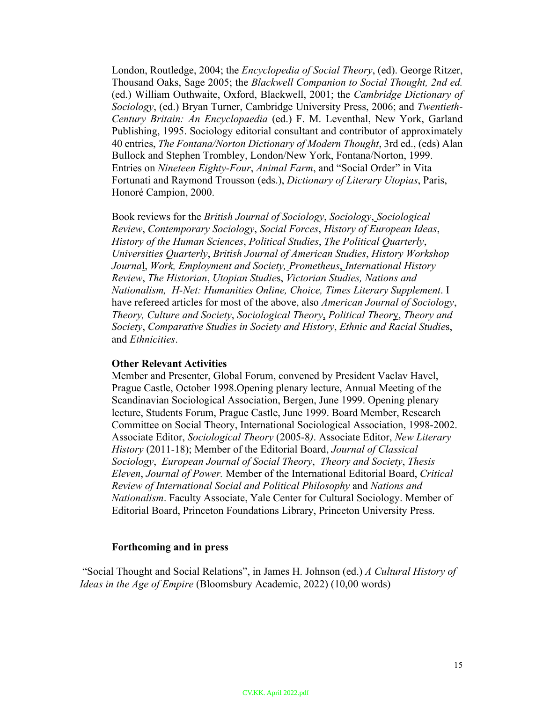London, Routledge, 2004; the *Encyclopedia of Social Theory*, (ed). George Ritzer, Thousand Oaks, Sage 2005; the *Blackwell Companion to Social Thought, 2nd ed.* (ed.) William Outhwaite, Oxford, Blackwell, 2001; the *Cambridge Dictionary of Sociology*, (ed.) Bryan Turner, Cambridge University Press, 2006; and *Twentieth-Century Britain: An Encyclopaedia* (ed.) F. M. Leventhal, New York, Garland Publishing, 1995. Sociology editorial consultant and contributor of approximately 40 entries, *The Fontana/Norton Dictionary of Modern Thought*, 3rd ed., (eds) Alan Bullock and Stephen Trombley, London/New York, Fontana/Norton, 1999. Entries on *Nineteen Eighty-Four*, *Animal Farm*, and "Social Order" in Vita Fortunati and Raymond Trousson (eds.), *Dictionary of Literary Utopias*, Paris, Honoré Campion, 2000.

Book reviews for the *British Journal of Sociology*, *Sociology*, *Sociological Review*, *Contemporary Sociology*, *Social Forces*, *History of European Ideas*, *History of the Human Sciences*, *Political Studies*, *The Political Quarterly*, *Universities Quarterly*, *British Journal of American Studies*, *History Workshop Journa*l, *Work, Employment and Society, Prometheus*, *International History Review*, *The Historian*, *Utopian Studie*s, *Victorian Studies, Nations and Nationalism, H-Net: Humanities Online, Choice, Times Literary Supplement*. I have refereed articles for most of the above, also *American Journal of Sociology*, *Theory, Culture and Society*, *Sociological Theory*, *Political Theor*y, *Theory and Society*, *Comparative Studies in Society and History*, *Ethnic and Racial Studie*s, and *Ethnicities*.

### **Other Relevant Activities**

Member and Presenter, Global Forum, convened by President Vaclav Havel, Prague Castle, October 1998.Opening plenary lecture, Annual Meeting of the Scandinavian Sociological Association, Bergen, June 1999. Opening plenary lecture, Students Forum, Prague Castle, June 1999. Board Member, Research Committee on Social Theory, International Sociological Association, 1998-2002. Associate Editor, *Sociological Theory* (2005-8*)*. Associate Editor, *New Literary History* (2011-18); Member of the Editorial Board, *Journal of Classical Sociology*, *European Journal of Social Theory*, *Theory and Society*, *Thesis Eleven*, *Journal of Power.* Member of the International Editorial Board, *Critical Review of International Social and Political Philosophy* and *Nations and Nationalism*. Faculty Associate, Yale Center for Cultural Sociology. Member of Editorial Board, Princeton Foundations Library, Princeton University Press.

### **Forthcoming and in press**

"Social Thought and Social Relations", in James H. Johnson (ed.) *A Cultural History of Ideas in the Age of Empire* (Bloomsbury Academic, 2022) (10,00 words)